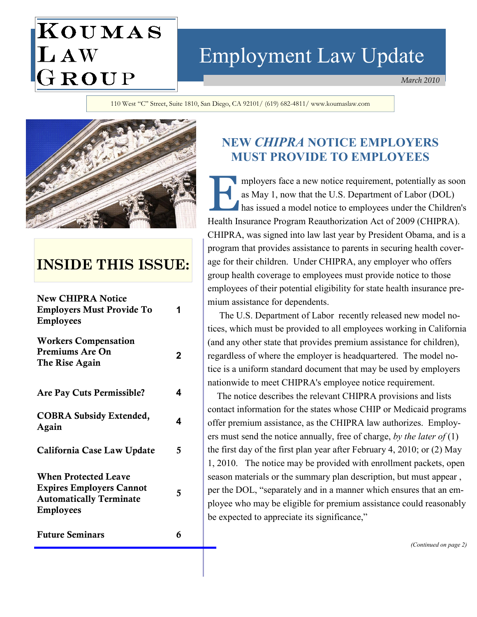# Employment Law Update

March 2010

110 West "C" Street, Suite 1810, San Diego, CA 92101/ (619) 682-4811/ www.koumaslaw.com



KOUMAS

LAW<br>GROUP

# INSIDE THIS ISSUE:

| <b>New CHIPRA Notice</b><br><b>Employers Must Provide To</b><br><b>Employees</b>                                     |   |
|----------------------------------------------------------------------------------------------------------------------|---|
|                                                                                                                      |   |
| <b>Are Pay Cuts Permissible?</b>                                                                                     | 4 |
| <b>COBRA Subsidy Extended,</b><br>Again                                                                              | 4 |
| California Case Law Update                                                                                           | 5 |
| <b>When Protected Leave</b><br><b>Expires Employers Cannot</b><br><b>Automatically Terminate</b><br><b>Employees</b> | 5 |
| <b>Future Seminars</b>                                                                                               |   |

# NEW CHIPRA NOTICE EMPLOYERS MUST PROVIDE TO EMPLOYEES

mployers face a new notice requirement, potentially as soon<br>as May 1, now that the U.S. Department of Labor (DOL)<br>has issued a model notice to employees under the Children's as May 1, now that the U.S. Department of Labor (DOL) has issued a model notice to employees under the Children's Health Insurance Program Reauthorization Act of 2009 (CHIPRA). CHIPRA, was signed into law last year by President Obama, and is a program that provides assistance to parents in securing health coverage for their children. Under CHIPRA, any employer who offers group health coverage to employees must provide notice to those employees of their potential eligibility for state health insurance premium assistance for dependents.

 The U.S. Department of Labor recently released new model notices, which must be provided to all employees working in California (and any other state that provides premium assistance for children), regardless of where the employer is headquartered. The model notice is a uniform standard document that may be used by employers nationwide to meet CHIPRA's employee notice requirement.

 The notice describes the relevant CHIPRA provisions and lists contact information for the states whose CHIP or Medicaid programs offer premium assistance, as the CHIPRA law authorizes. Employers must send the notice annually, free of charge, by the later of  $(1)$ the first day of the first plan year after February 4, 2010; or (2) May 1, 2010. The notice may be provided with enrollment packets, open season materials or the summary plan description, but must appear , per the DOL, "separately and in a manner which ensures that an employee who may be eligible for premium assistance could reasonably be expected to appreciate its significance,"

(Continued on page 2)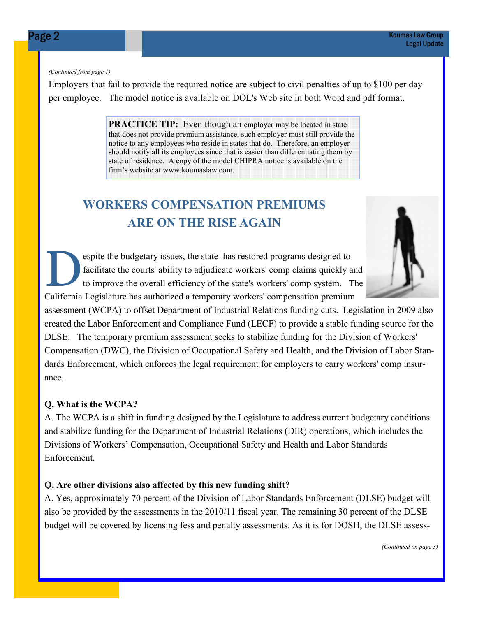#### (Continued from page 1)

Employers that fail to provide the required notice are subject to civil penalties of up to \$100 per day per employee. The model notice is available on DOL's Web site in both Word and pdf format.

> **PRACTICE TIP:** Even though an employer may be located in state that does not provide premium assistance, such employer must still provide the notice to any employees who reside in states that do. Therefore, an employer should notify all its employees since that is easier than differentiating them by state of residence. A copy of the model CHIPRA notice is available on the firm's website at www.koumaslaw.com.

# WORKERS COMPENSATION PREMIUMS ARE ON THE RISE AGAIN

espite the budgetary issues, the state has restored programs designed to facilitate the courts' ability to adjudicate workers' comp claims quickly a to improve the overall efficiency of the state's workers' comp system. facilitate the courts' ability to adjudicate workers' comp claims quickly and to improve the overall efficiency of the state's workers' comp system. The California Legislature has authorized a temporary workers' compensation premium

assessment (WCPA) to offset Department of Industrial Relations funding cuts. Legislation in 2009 also created the Labor Enforcement and Compliance Fund (LECF) to provide a stable funding source for the DLSE. The temporary premium assessment seeks to stabilize funding for the Division of Workers' Compensation (DWC), the Division of Occupational Safety and Health, and the Division of Labor Standards Enforcement, which enforces the legal requirement for employers to carry workers' comp insurance.

#### Q. What is the WCPA?

A. The WCPA is a shift in funding designed by the Legislature to address current budgetary conditions and stabilize funding for the Department of Industrial Relations (DIR) operations, which includes the Divisions of Workers' Compensation, Occupational Safety and Health and Labor Standards Enforcement.

#### Q. Are other divisions also affected by this new funding shift?

A. Yes, approximately 70 percent of the Division of Labor Standards Enforcement (DLSE) budget will also be provided by the assessments in the 2010/11 fiscal year. The remaining 30 percent of the DLSE budget will be covered by licensing fess and penalty assessments. As it is for DOSH, the DLSE assess-

(Continued on page 3)

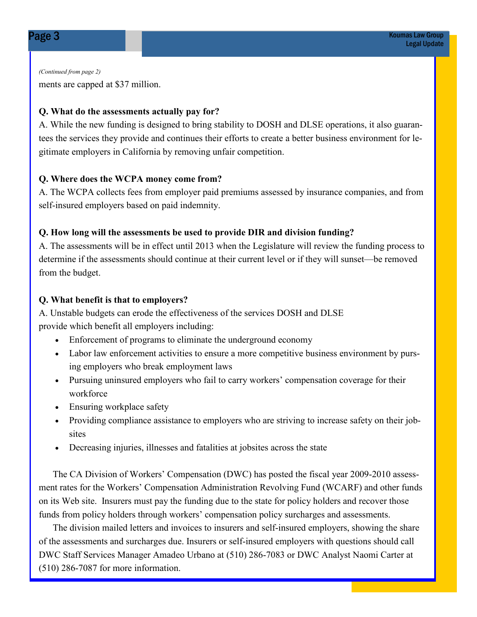ments are capped at \$37 million. (Continued from page 2)

### Q. What do the assessments actually pay for?

A. While the new funding is designed to bring stability to DOSH and DLSE operations, it also guarantees the services they provide and continues their efforts to create a better business environment for legitimate employers in California by removing unfair competition.

#### Q. Where does the WCPA money come from?

A. The WCPA collects fees from employer paid premiums assessed by insurance companies, and from self-insured employers based on paid indemnity.

#### Q. How long will the assessments be used to provide DIR and division funding?

A. The assessments will be in effect until 2013 when the Legislature will review the funding process to determine if the assessments should continue at their current level or if they will sunset—be removed from the budget.

#### Q. What benefit is that to employers?

A. Unstable budgets can erode the effectiveness of the services DOSH and DLSE provide which benefit all employers including:

- Enforcement of programs to eliminate the underground economy
- Labor law enforcement activities to ensure a more competitive business environment by pursing employers who break employment laws
- Pursuing uninsured employers who fail to carry workers' compensation coverage for their workforce
- Ensuring workplace safety
- Providing compliance assistance to employers who are striving to increase safety on their jobsites
- Decreasing injuries, illnesses and fatalities at jobsites across the state

 The CA Division of Workers' Compensation (DWC) has posted the fiscal year 2009-2010 assessment rates for the Workers' Compensation Administration Revolving Fund (WCARF) and other funds on its Web site. Insurers must pay the funding due to the state for policy holders and recover those funds from policy holders through workers' compensation policy surcharges and assessments.

 The division mailed letters and invoices to insurers and self-insured employers, showing the share of the assessments and surcharges due. Insurers or self-insured employers with questions should call DWC Staff Services Manager Amadeo Urbano at (510) 286-7083 or DWC Analyst Naomi Carter at (510) 286-7087 for more information.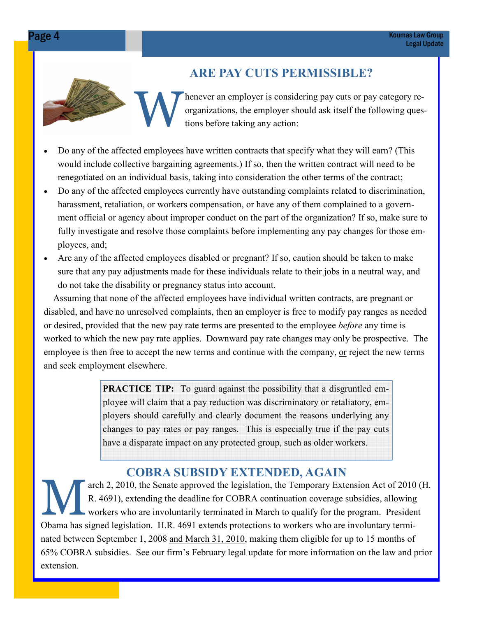# ARE PAY CUTS PERMISSIBLE?

HEREVERS 2002 1222. organizations, the employer should ask itself the following questions before taking any action:

- Do any of the affected employees have written contracts that specify what they will earn? (This would include collective bargaining agreements.) If so, then the written contract will need to be renegotiated on an individual basis, taking into consideration the other terms of the contract;
- Do any of the affected employees currently have outstanding complaints related to discrimination, harassment, retaliation, or workers compensation, or have any of them complained to a government official or agency about improper conduct on the part of the organization? If so, make sure to fully investigate and resolve those complaints before implementing any pay changes for those employees, and;
- Are any of the affected employees disabled or pregnant? If so, caution should be taken to make sure that any pay adjustments made for these individuals relate to their jobs in a neutral way, and do not take the disability or pregnancy status into account.

 Assuming that none of the affected employees have individual written contracts, are pregnant or disabled, and have no unresolved complaints, then an employer is free to modify pay ranges as needed or desired, provided that the new pay rate terms are presented to the employee *before* any time is worked to which the new pay rate applies. Downward pay rate changes may only be prospective. The employee is then free to accept the new terms and continue with the company, <u>or</u> reject the new terms and seek employment elsewhere.

> **PRACTICE TIP:** To guard against the possibility that a disgruntled employee will claim that a pay reduction was discriminatory or retaliatory, employers should carefully and clearly document the reasons underlying any changes to pay rates or pay ranges. This is especially true if the pay cuts have a disparate impact on any protected group, such as older workers.

# COBRA SUBSIDY EXTENDED, AGAIN

arch 2, 2010, the Senate approved the legislation, the Temporary Extension Act of 2010 (H. R. 4691), extending the deadline for COBRA continuation coverage subsidies, allowing workers who are involuntarily terminated in March to qualify for the program. President Obama has signed legislation. H.R. 4691 extends protections to workers who are involuntary terminated between September 1, 2008 and March 31, 2010, making them eligible for up to 15 months of 65% COBRA subsidies. See our firm's February legal update for more information on the law and prior extension.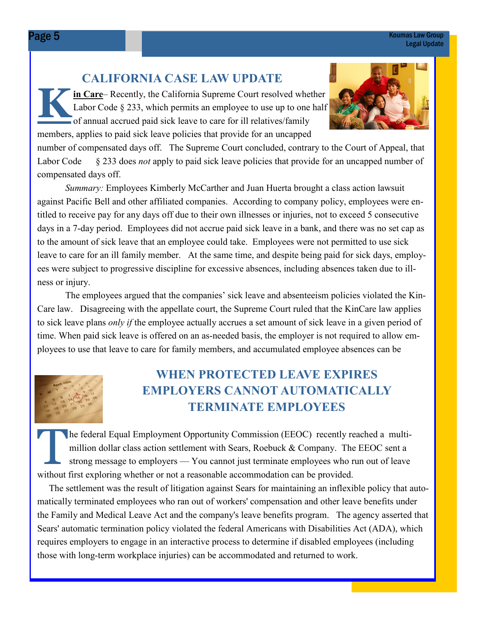# CALIFORNIA CASE LAW UPDATE

K in Care– Recently, the California Supreme Court resolved whether Labor Code § 233, which permits an employee to use up to one half of annual accrued paid sick leave to care for ill relatives/family members, applies to paid sick leave policies that provide for an uncapped



number of compensated days off. The Supreme Court concluded, contrary to the Court of Appeal, that Labor Code § 233 does *not* apply to paid sick leave policies that provide for an uncapped number of compensated days off.

Summary: Employees Kimberly McCarther and Juan Huerta brought a class action lawsuit against Pacific Bell and other affiliated companies. According to company policy, employees were entitled to receive pay for any days off due to their own illnesses or injuries, not to exceed 5 consecutive days in a 7-day period. Employees did not accrue paid sick leave in a bank, and there was no set cap as to the amount of sick leave that an employee could take. Employees were not permitted to use sick leave to care for an ill family member. At the same time, and despite being paid for sick days, employees were subject to progressive discipline for excessive absences, including absences taken due to illness or injury.

 The employees argued that the companies' sick leave and absenteeism policies violated the Kin-Care law. Disagreeing with the appellate court, the Supreme Court ruled that the KinCare law applies to sick leave plans only if the employee actually accrues a set amount of sick leave in a given period of time. When paid sick leave is offered on an as-needed basis, the employer is not required to allow employees to use that leave to care for family members, and accumulated employee absences can be



# WHEN PROTECTED LEAVE EXPIRES EMPLOYERS CANNOT AUTOMATICALLY TERMINATE EMPLOYEES

The federal Equal Employment Opportunity Commission (EEOC) recently reached a multimillion dollar class action settlement with Sears, Roebuck & Company. The EEOC sent a strong message to employers — You cannot just terminate employees who run out of leave without first exploring whether or not a reasonable accommodation can be provided.

 The settlement was the result of litigation against Sears for maintaining an inflexible policy that automatically terminated employees who ran out of workers' compensation and other leave benefits under the Family and Medical Leave Act and the company's leave benefits program. The agency asserted that Sears' automatic termination policy violated the federal Americans with Disabilities Act (ADA), which requires employers to engage in an interactive process to determine if disabled employees (including those with long-term workplace injuries) can be accommodated and returned to work.